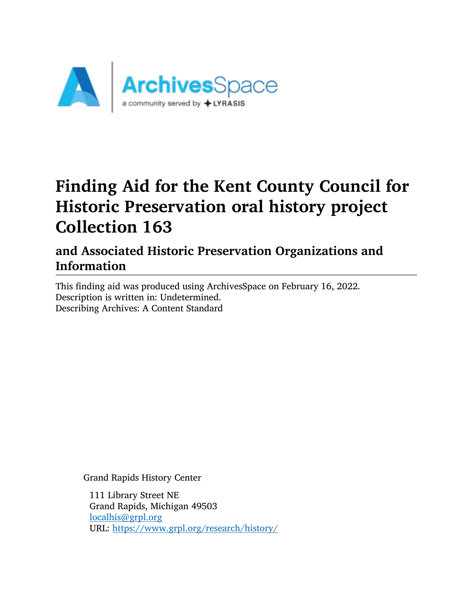

# Finding Aid for the Kent County Council for Historic Preservation oral history project Collection 163

and Associated Historic Preservation Organizations and Information

This finding aid was produced using ArchivesSpace on February 16, 2022. Description is written in: Undetermined. Describing Archives: A Content Standard

Grand Rapids History Center

111 Library Street NE Grand Rapids, Michigan 49503 [localhis@grpl.org](mailto:localhis@grpl.org) URL: <https://www.grpl.org/research/history/>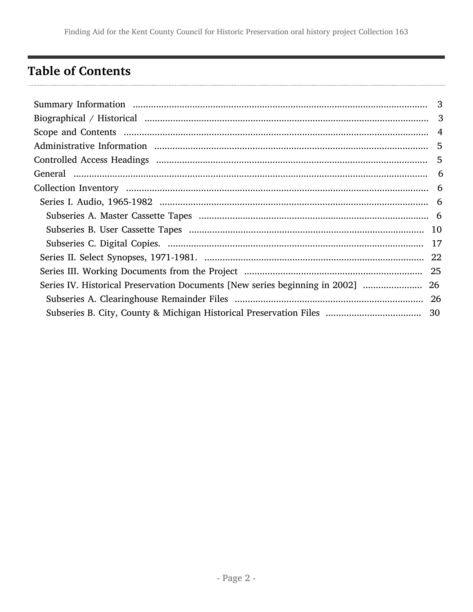## <span id="page-1-0"></span>**Table of Contents**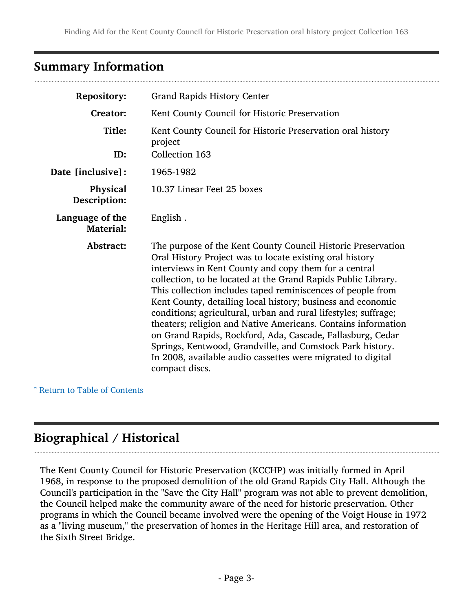### <span id="page-2-0"></span>Summary Information

| <b>Repository:</b>                  | <b>Grand Rapids History Center</b>                                                                                                                                                                                                                                                                                                                                                                                                                                                                                                                                                                                                                                                                                               |  |  |
|-------------------------------------|----------------------------------------------------------------------------------------------------------------------------------------------------------------------------------------------------------------------------------------------------------------------------------------------------------------------------------------------------------------------------------------------------------------------------------------------------------------------------------------------------------------------------------------------------------------------------------------------------------------------------------------------------------------------------------------------------------------------------------|--|--|
| Creator:                            | Kent County Council for Historic Preservation                                                                                                                                                                                                                                                                                                                                                                                                                                                                                                                                                                                                                                                                                    |  |  |
| Title:<br>ID:                       | Kent County Council for Historic Preservation oral history<br>project                                                                                                                                                                                                                                                                                                                                                                                                                                                                                                                                                                                                                                                            |  |  |
|                                     | Collection 163                                                                                                                                                                                                                                                                                                                                                                                                                                                                                                                                                                                                                                                                                                                   |  |  |
| Date [inclusive]:                   | 1965-1982                                                                                                                                                                                                                                                                                                                                                                                                                                                                                                                                                                                                                                                                                                                        |  |  |
| Physical<br>Description:            | 10.37 Linear Feet 25 boxes                                                                                                                                                                                                                                                                                                                                                                                                                                                                                                                                                                                                                                                                                                       |  |  |
| Language of the<br><b>Material:</b> | English.                                                                                                                                                                                                                                                                                                                                                                                                                                                                                                                                                                                                                                                                                                                         |  |  |
| Abstract:                           | The purpose of the Kent County Council Historic Preservation<br>Oral History Project was to locate existing oral history<br>interviews in Kent County and copy them for a central<br>collection, to be located at the Grand Rapids Public Library.<br>This collection includes taped reminiscences of people from<br>Kent County, detailing local history; business and economic<br>conditions; agricultural, urban and rural lifestyles; suffrage;<br>theaters; religion and Native Americans. Contains information<br>on Grand Rapids, Rockford, Ada, Cascade, Fallasburg, Cedar<br>Springs, Kentwood, Grandville, and Comstock Park history.<br>In 2008, available audio cassettes were migrated to digital<br>compact discs. |  |  |

^ [Return to Table of Contents](#page-1-0)

## <span id="page-2-1"></span>Biographical / Historical

The Kent County Council for Historic Preservation (KCCHP) was initially formed in April 1968, in response to the proposed demolition of the old Grand Rapids City Hall. Although the Council's participation in the "Save the City Hall" program was not able to prevent demolition, the Council helped make the community aware of the need for historic preservation. Other programs in which the Council became involved were the opening of the Voigt House in 1972 as a "living museum," the preservation of homes in the Heritage Hill area, and restoration of the Sixth Street Bridge.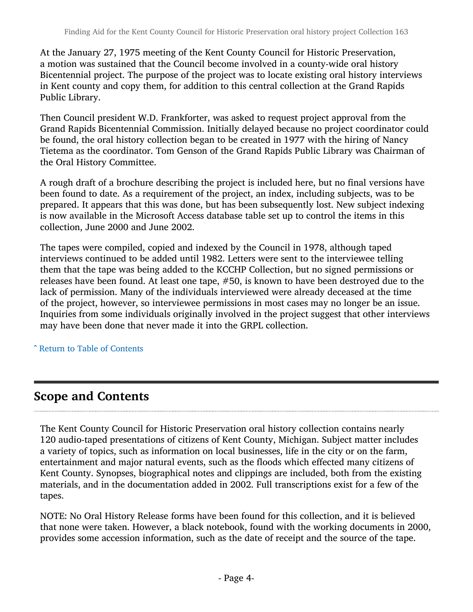At the January 27, 1975 meeting of the Kent County Council for Historic Preservation, a motion was sustained that the Council become involved in a county-wide oral history Bicentennial project. The purpose of the project was to locate existing oral history interviews in Kent county and copy them, for addition to this central collection at the Grand Rapids Public Library.

Then Council president W.D. Frankforter, was asked to request project approval from the Grand Rapids Bicentennial Commission. Initially delayed because no project coordinator could be found, the oral history collection began to be created in 1977 with the hiring of Nancy Tietema as the coordinator. Tom Genson of the Grand Rapids Public Library was Chairman of the Oral History Committee.

A rough draft of a brochure describing the project is included here, but no final versions have been found to date. As a requirement of the project, an index, including subjects, was to be prepared. It appears that this was done, but has been subsequently lost. New subject indexing is now available in the Microsoft Access database table set up to control the items in this collection, June 2000 and June 2002.

The tapes were compiled, copied and indexed by the Council in 1978, although taped interviews continued to be added until 1982. Letters were sent to the interviewee telling them that the tape was being added to the KCCHP Collection, but no signed permissions or releases have been found. At least one tape, #50, is known to have been destroyed due to the lack of permission. Many of the individuals interviewed were already deceased at the time of the project, however, so interviewee permissions in most cases may no longer be an issue. Inquiries from some individuals originally involved in the project suggest that other interviews may have been done that never made it into the GRPL collection.

^ [Return to Table of Contents](#page-1-0)

## <span id="page-3-0"></span>Scope and Contents

The Kent County Council for Historic Preservation oral history collection contains nearly 120 audio-taped presentations of citizens of Kent County, Michigan. Subject matter includes a variety of topics, such as information on local businesses, life in the city or on the farm, entertainment and major natural events, such as the floods which effected many citizens of Kent County. Synopses, biographical notes and clippings are included, both from the existing materials, and in the documentation added in 2002. Full transcriptions exist for a few of the tapes.

NOTE: No Oral History Release forms have been found for this collection, and it is believed that none were taken. However, a black notebook, found with the working documents in 2000, provides some accession information, such as the date of receipt and the source of the tape.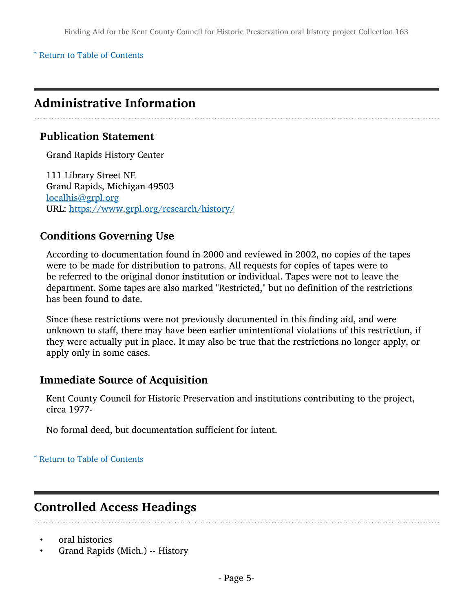^ [Return to Table of Contents](#page-1-0)

### <span id="page-4-0"></span>Administrative Information

#### Publication Statement

Grand Rapids History Center

111 Library Street NE Grand Rapids, Michigan 49503 [localhis@grpl.org](mailto:localhis@grpl.org) URL: <https://www.grpl.org/research/history/>

#### Conditions Governing Use

According to documentation found in 2000 and reviewed in 2002, no copies of the tapes were to be made for distribution to patrons. All requests for copies of tapes were to be referred to the original donor institution or individual. Tapes were not to leave the department. Some tapes are also marked "Restricted," but no definition of the restrictions has been found to date.

Since these restrictions were not previously documented in this finding aid, and were unknown to staff, there may have been earlier unintentional violations of this restriction, if they were actually put in place. It may also be true that the restrictions no longer apply, or apply only in some cases.

#### Immediate Source of Acquisition

Kent County Council for Historic Preservation and institutions contributing to the project, circa 1977-

No formal deed, but documentation sufficient for intent.

#### ^ [Return to Table of Contents](#page-1-0)

### <span id="page-4-1"></span>Controlled Access Headings

- oral histories
- Grand Rapids (Mich.) -- History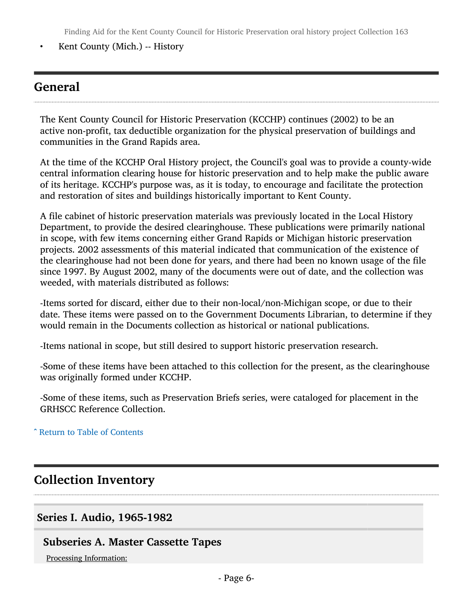Finding Aid for the Kent County Council for Historic Preservation oral history project Collection 163

• Kent County (Mich.) -- History

### <span id="page-5-0"></span>General

The Kent County Council for Historic Preservation (KCCHP) continues (2002) to be an active non-profit, tax deductible organization for the physical preservation of buildings and communities in the Grand Rapids area.

At the time of the KCCHP Oral History project, the Council's goal was to provide a county-wide central information clearing house for historic preservation and to help make the public aware of its heritage. KCCHP's purpose was, as it is today, to encourage and facilitate the protection and restoration of sites and buildings historically important to Kent County.

A file cabinet of historic preservation materials was previously located in the Local History Department, to provide the desired clearinghouse. These publications were primarily national in scope, with few items concerning either Grand Rapids or Michigan historic preservation projects. 2002 assessments of this material indicated that communication of the existence of the clearinghouse had not been done for years, and there had been no known usage of the file since 1997. By August 2002, many of the documents were out of date, and the collection was weeded, with materials distributed as follows:

-Items sorted for discard, either due to their non-local/non-Michigan scope, or due to their date. These items were passed on to the Government Documents Librarian, to determine if they would remain in the Documents collection as historical or national publications.

-Items national in scope, but still desired to support historic preservation research.

-Some of these items have been attached to this collection for the present, as the clearinghouse was originally formed under KCCHP.

-Some of these items, such as Preservation Briefs series, were cataloged for placement in the GRHSCC Reference Collection.

#### ^ [Return to Table of Contents](#page-1-0)

### <span id="page-5-1"></span>Collection Inventory

#### <span id="page-5-2"></span>Series I. Audio, 1965-1982

#### <span id="page-5-3"></span>Subseries A. Master Cassette Tapes

Processing Information: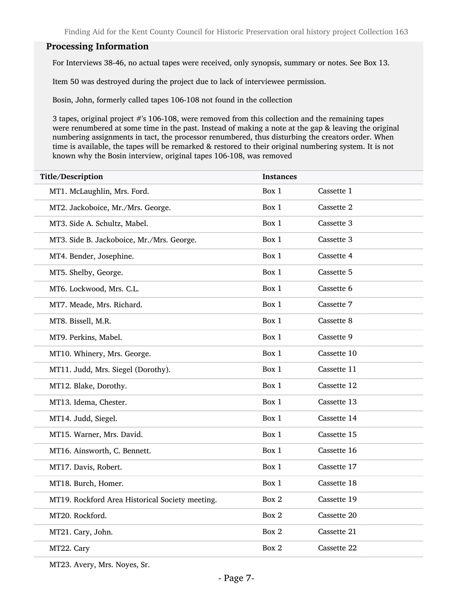#### Processing Information

For Interviews 38-46, no actual tapes were received, only synopsis, summary or notes. See Box 13.

Item 50 was destroyed during the project due to lack of interviewee permission.

Bosin, John, formerly called tapes 106-108 not found in the collection

3 tapes, original project #'s 106-108, were removed from this collection and the remaining tapes were renumbered at some time in the past. Instead of making a note at the gap & leaving the original numbering assignments in tact, the processor renumbered, thus disturbing the creators order. When time is available, the tapes will be remarked & restored to their original numbering system. It is not known why the Bosin interview, original tapes 106-108, was removed

| Title/Description                               | <b>Instances</b> |             |
|-------------------------------------------------|------------------|-------------|
| MT1. McLaughlin, Mrs. Ford.                     | Box 1            | Cassette 1  |
| MT2. Jackoboice, Mr./Mrs. George.               | Box 1            | Cassette 2  |
| MT3. Side A. Schultz, Mabel.                    | Box 1            | Cassette 3  |
| MT3. Side B. Jackoboice, Mr./Mrs. George.       | Box 1            | Cassette 3  |
| MT4. Bender, Josephine.                         | Box 1            | Cassette 4  |
| MT5. Shelby, George.                            | Box 1            | Cassette 5  |
| MT6. Lockwood, Mrs. C.L.                        | Box 1            | Cassette 6  |
| MT7. Meade, Mrs. Richard.                       | Box 1            | Cassette 7  |
| MT8. Bissell, M.R.                              | Box 1            | Cassette 8  |
| MT9. Perkins, Mabel.                            | Box 1            | Cassette 9  |
| MT10. Whinery, Mrs. George.                     | Box 1            | Cassette 10 |
| MT11. Judd, Mrs. Siegel (Dorothy).              | Box 1            | Cassette 11 |
| MT12. Blake, Dorothy.                           | Box 1            | Cassette 12 |
| MT13. Idema, Chester.                           | Box 1            | Cassette 13 |
| MT14. Judd, Siegel.                             | Box 1            | Cassette 14 |
| MT15. Warner, Mrs. David.                       | Box 1            | Cassette 15 |
| MT16. Ainsworth, C. Bennett.                    | Box 1            | Cassette 16 |
| MT17. Davis, Robert.                            | Box 1            | Cassette 17 |
| MT18. Burch, Homer.                             | Box 1            | Cassette 18 |
| MT19. Rockford Area Historical Society meeting. | Box 2            | Cassette 19 |
| MT20. Rockford.                                 | Box 2            | Cassette 20 |
| MT21. Cary, John.                               | Box 2            | Cassette 21 |
| MT22. Cary                                      | Box 2            | Cassette 22 |
|                                                 |                  |             |

MT23. Avery, Mrs. Noyes, Sr.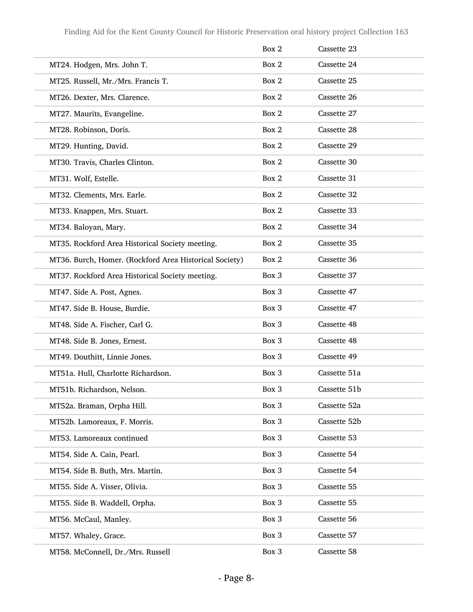|                                                        | Box 2 | Cassette 23  |
|--------------------------------------------------------|-------|--------------|
| MT24. Hodgen, Mrs. John T.                             | Box 2 | Cassette 24  |
| MT25. Russell, Mr./Mrs. Francis T.                     | Box 2 | Cassette 25  |
| MT26. Dexter, Mrs. Clarence.                           | Box 2 | Cassette 26  |
| MT27. Maurits, Evangeline.                             | Box 2 | Cassette 27  |
| MT28. Robinson, Doris.                                 | Box 2 | Cassette 28  |
| MT29. Hunting, David.                                  | Box 2 | Cassette 29  |
| MT30. Travis, Charles Clinton.                         | Box 2 | Cassette 30  |
| MT31. Wolf, Estelle.                                   | Box 2 | Cassette 31  |
| MT32. Clements, Mrs. Earle.                            | Box 2 | Cassette 32  |
| MT33. Knappen, Mrs. Stuart.                            | Box 2 | Cassette 33  |
| MT34. Baloyan, Mary.                                   | Box 2 | Cassette 34  |
| MT35. Rockford Area Historical Society meeting.        | Box 2 | Cassette 35  |
| MT36. Burch, Homer. (Rockford Area Historical Society) | Box 2 | Cassette 36  |
| MT37. Rockford Area Historical Society meeting.        | Box 3 | Cassette 37  |
| MT47. Side A. Post, Agnes.                             | Box 3 | Cassette 47  |
| MT47. Side B. House, Burdie.                           | Box 3 | Cassette 47  |
| MT48. Side A. Fischer, Carl G.                         | Box 3 | Cassette 48  |
| MT48. Side B. Jones, Ernest.                           | Box 3 | Cassette 48  |
| MT49. Douthitt, Linnie Jones.                          | Box 3 | Cassette 49  |
| MT51a. Hull, Charlotte Richardson.                     | Box 3 | Cassette 51a |
| MT51b. Richardson, Nelson.                             | Box 3 | Cassette 51b |
| MT52a. Braman, Orpha Hill.                             | Box 3 | Cassette 52a |
| MT52b. Lamoreaux, F. Morris.                           | Box 3 | Cassette 52b |
| MT53. Lamoreaux continued                              | Box 3 | Cassette 53  |
| MT54. Side A. Cain, Pearl.                             | Box 3 | Cassette 54  |
| MT54. Side B. Buth, Mrs. Martin.                       | Box 3 | Cassette 54  |
| MT55. Side A. Visser, Olivia.                          | Box 3 | Cassette 55  |
| MT55. Side B. Waddell, Orpha.                          | Box 3 | Cassette 55  |
| MT56. McCaul, Manley.                                  | Box 3 | Cassette 56  |
| MT57. Whaley, Grace.                                   | Box 3 | Cassette 57  |
| MT58. McConnell, Dr./Mrs. Russell                      | Box 3 | Cassette 58  |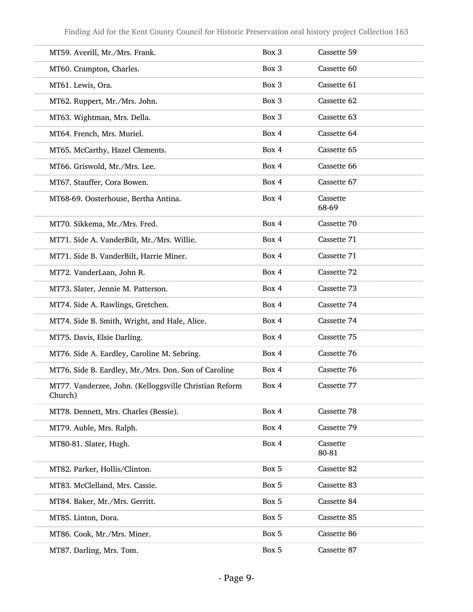| MT59. Averill, Mr./Mrs. Frank.                                    | Box 3 | Cassette 59       |
|-------------------------------------------------------------------|-------|-------------------|
| MT60. Crampton, Charles.                                          | Box 3 | Cassette 60       |
| MT61. Lewis, Ora.                                                 | Box 3 | Cassette 61       |
| MT62. Ruppert, Mr./Mrs. John.                                     | Box 3 | Cassette 62       |
| MT63. Wightman, Mrs. Della.                                       | Box 3 | Cassette 63       |
| MT64. French, Mrs. Muriel.                                        | Box 4 | Cassette 64       |
| MT65. McCarthy, Hazel Clements.                                   | Box 4 | Cassette 65       |
| MT66. Griswold, Mr./Mrs. Lee.                                     | Box 4 | Cassette 66       |
| MT67. Stauffer, Cora Bowen.                                       | Box 4 | Cassette 67       |
| MT68-69. Oosterhouse, Bertha Antina.                              | Box 4 | Cassette<br>68-69 |
| MT70. Sikkema, Mr./Mrs. Fred.                                     | Box 4 | Cassette 70       |
| MT71. Side A. VanderBilt, Mr./Mrs. Willie.                        | Box 4 | Cassette 71       |
| MT71. Side B. VanderBilt, Harrie Miner.                           | Box 4 | Cassette 71       |
| MT72. VanderLaan, John R.                                         | Box 4 | Cassette 72       |
| MT73. Slater, Jennie M. Patterson.                                | Box 4 | Cassette 73       |
| MT74. Side A. Rawlings, Gretchen.                                 | Box 4 | Cassette 74       |
| MT74. Side B. Smith, Wright, and Hale, Alice.                     | Box 4 | Cassette 74       |
| MT75. Davis, Elsie Darling.                                       | Box 4 | Cassette 75       |
| MT76. Side A. Eardley, Caroline M. Sebring.                       | Box 4 | Cassette 76       |
| MT76. Side B. Eardley, Mr./Mrs. Don. Son of Caroline              | Box 4 | Cassette 76       |
| MT77. Vanderzee, John. (Kelloggsville Christian Reform<br>Church) | Box 4 | Cassette 77       |
| MT78. Dennett, Mrs. Charles (Bessie).                             | Box 4 | Cassette 78       |
| MT79. Auble, Mrs. Ralph.                                          | Box 4 | Cassette 79       |
| MT80-81. Slater, Hugh.                                            | Box 4 | Cassette<br>80-81 |
| MT82. Parker, Hollis/Clinton.                                     | Box 5 | Cassette 82       |
| MT83. McClelland, Mrs. Cassie.                                    | Box 5 | Cassette 83       |
| MT84. Baker, Mr./Mrs. Gerritt.                                    | Box 5 | Cassette 84       |
| MT85. Linton, Dora.                                               | Box 5 | Cassette 85       |
| MT86. Cook, Mr./Mrs. Miner.                                       | Box 5 | Cassette 86       |
| MT87. Darling, Mrs. Tom.                                          | Box 5 | Cassette 87       |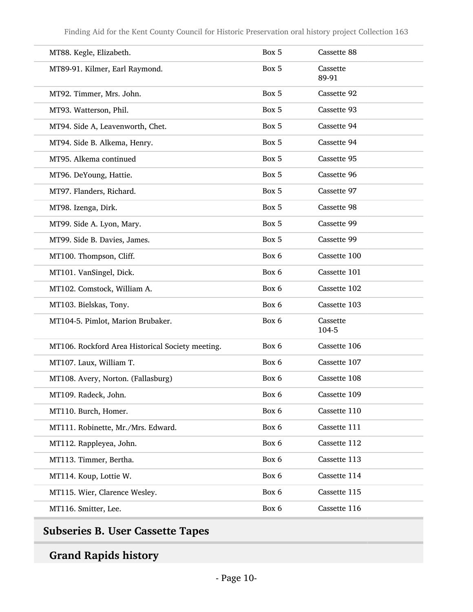| MT88. Kegle, Elizabeth.                          | Box 5 | Cassette 88       |
|--------------------------------------------------|-------|-------------------|
| MT89-91. Kilmer, Earl Raymond.                   | Box 5 | Cassette<br>89-91 |
| MT92. Timmer, Mrs. John.                         | Box 5 | Cassette 92       |
| MT93. Watterson, Phil.                           | Box 5 | Cassette 93       |
| MT94. Side A, Leavenworth, Chet.                 | Box 5 | Cassette 94       |
| MT94. Side B. Alkema, Henry.                     | Box 5 | Cassette 94       |
| MT95. Alkema continued                           | Box 5 | Cassette 95       |
| MT96. DeYoung, Hattie.                           | Box 5 | Cassette 96       |
| MT97. Flanders, Richard.                         | Box 5 | Cassette 97       |
| MT98. Izenga, Dirk.                              | Box 5 | Cassette 98       |
| MT99. Side A. Lyon, Mary.                        | Box 5 | Cassette 99       |
| MT99. Side B. Davies, James.                     | Box 5 | Cassette 99       |
| MT100. Thompson, Cliff.                          | Box 6 | Cassette 100      |
| MT101. VanSingel, Dick.                          | Box 6 | Cassette 101      |
| MT102. Comstock, William A.                      | Box 6 | Cassette 102      |
| MT103. Bielskas, Tony.                           | Box 6 | Cassette 103      |
| MT104-5. Pimlot, Marion Brubaker.                | Box 6 | Cassette<br>104-5 |
| MT106. Rockford Area Historical Society meeting. | Box 6 | Cassette 106      |
| MT107. Laux, William T.                          | Box 6 | Cassette 107      |
| MT108. Avery, Norton. (Fallasburg)               | Box 6 | Cassette 108      |
| MT109. Radeck, John.                             | Box 6 | Cassette 109      |
| MT110. Burch, Homer.                             | Box 6 | Cassette 110      |
| MT111. Robinette, Mr./Mrs. Edward.               | Box 6 | Cassette 111      |
| MT112. Rappleyea, John.                          | Box 6 | Cassette 112      |
| MT113. Timmer, Bertha.                           | Box 6 | Cassette 113      |
| MT114. Koup, Lottie W.                           | Box 6 | Cassette 114      |
| MT115. Wier, Clarence Wesley.                    | Box 6 | Cassette 115      |
| MT116. Smitter, Lee.                             | Box 6 | Cassette 116      |
|                                                  |       |                   |

## <span id="page-9-0"></span>Subseries B. User Cassette Tapes

## Grand Rapids history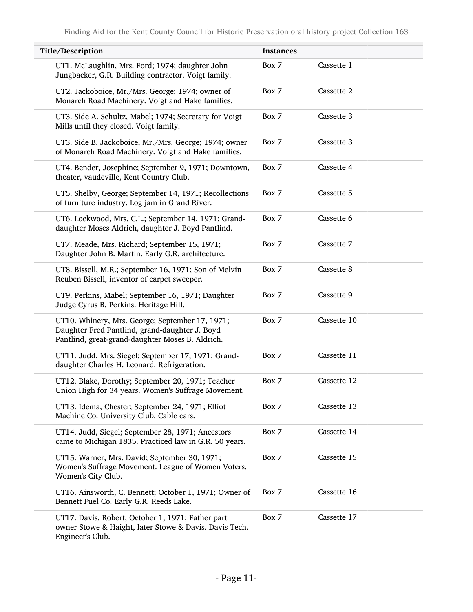| Title/Description                                                                                                                                     | <b>Instances</b> |             |
|-------------------------------------------------------------------------------------------------------------------------------------------------------|------------------|-------------|
| UT1. McLaughlin, Mrs. Ford; 1974; daughter John<br>Jungbacker, G.R. Building contractor. Voigt family.                                                | Box 7            | Cassette 1  |
| UT2. Jackoboice, Mr./Mrs. George; 1974; owner of<br>Monarch Road Machinery. Voigt and Hake families.                                                  | Box 7            | Cassette 2  |
| UT3. Side A. Schultz, Mabel; 1974; Secretary for Voigt<br>Mills until they closed. Voigt family.                                                      | Box 7            | Cassette 3  |
| UT3. Side B. Jackoboice, Mr./Mrs. George; 1974; owner<br>of Monarch Road Machinery. Voigt and Hake families.                                          | Box 7            | Cassette 3  |
| UT4. Bender, Josephine; September 9, 1971; Downtown,<br>theater, vaudeville, Kent Country Club.                                                       | Box 7            | Cassette 4  |
| UT5. Shelby, George; September 14, 1971; Recollections<br>of furniture industry. Log jam in Grand River.                                              | Box 7            | Cassette 5  |
| UT6. Lockwood, Mrs. C.L.; September 14, 1971; Grand-<br>daughter Moses Aldrich, daughter J. Boyd Pantlind.                                            | Box 7            | Cassette 6  |
| UT7. Meade, Mrs. Richard; September 15, 1971;<br>Daughter John B. Martin. Early G.R. architecture.                                                    | Box 7            | Cassette 7  |
| UT8. Bissell, M.R.; September 16, 1971; Son of Melvin<br>Reuben Bissell, inventor of carpet sweeper.                                                  | Box 7            | Cassette 8  |
| UT9. Perkins, Mabel; September 16, 1971; Daughter<br>Judge Cyrus B. Perkins. Heritage Hill.                                                           | Box 7            | Cassette 9  |
| UT10. Whinery, Mrs. George; September 17, 1971;<br>Daughter Fred Pantlind, grand-daughter J. Boyd<br>Pantlind, great-grand-daughter Moses B. Aldrich. | Box 7            | Cassette 10 |
| UT11. Judd, Mrs. Siegel; September 17, 1971; Grand-<br>daughter Charles H. Leonard. Refrigeration.                                                    | Box 7            | Cassette 11 |
| UT12. Blake, Dorothy; September 20, 1971; Teacher<br>Union High for 34 years. Women's Suffrage Movement.                                              | Box 7            | Cassette 12 |
| UT13. Idema, Chester; September 24, 1971; Elliot<br>Machine Co. University Club. Cable cars.                                                          | Box 7            | Cassette 13 |
| UT14. Judd, Siegel; September 28, 1971; Ancestors<br>came to Michigan 1835. Practiced law in G.R. 50 years.                                           | Box 7            | Cassette 14 |
| UT15. Warner, Mrs. David; September 30, 1971;<br>Women's Suffrage Movement. League of Women Voters.<br>Women's City Club.                             | Box 7            | Cassette 15 |
| UT16. Ainsworth, C. Bennett; October 1, 1971; Owner of<br>Bennett Fuel Co. Early G.R. Reeds Lake.                                                     | Box 7            | Cassette 16 |
| UT17. Davis, Robert; October 1, 1971; Father part<br>owner Stowe & Haight, later Stowe & Davis. Davis Tech.<br>Engineer's Club.                       | Box 7            | Cassette 17 |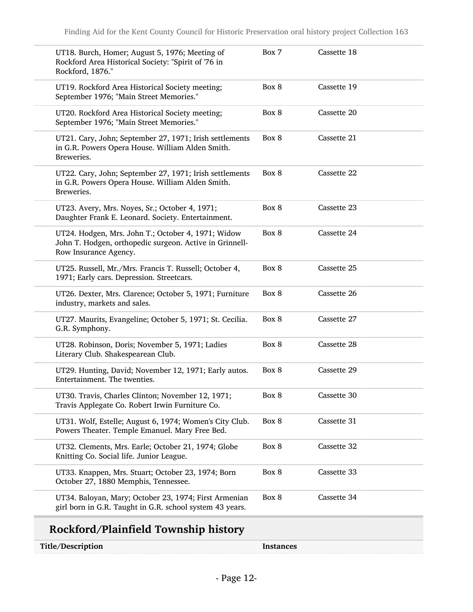| UT18. Burch, Homer; August 5, 1976; Meeting of<br>Rockford Area Historical Society: "Spirit of '76 in<br>Rockford, 1876."              | Box 7 | Cassette 18 |
|----------------------------------------------------------------------------------------------------------------------------------------|-------|-------------|
| UT19. Rockford Area Historical Society meeting;<br>September 1976; "Main Street Memories."                                             | Box 8 | Cassette 19 |
| UT20. Rockford Area Historical Society meeting;<br>September 1976; "Main Street Memories."                                             | Box 8 | Cassette 20 |
| UT21. Cary, John; September 27, 1971; Irish settlements<br>in G.R. Powers Opera House. William Alden Smith.<br>Breweries.              | Box 8 | Cassette 21 |
| UT22. Cary, John; September 27, 1971; Irish settlements<br>in G.R. Powers Opera House. William Alden Smith.<br>Breweries.              | Box 8 | Cassette 22 |
| UT23. Avery, Mrs. Noyes, Sr.; October 4, 1971;<br>Daughter Frank E. Leonard. Society. Entertainment.                                   | Box 8 | Cassette 23 |
| UT24. Hodgen, Mrs. John T.; October 4, 1971; Widow<br>John T. Hodgen, orthopedic surgeon. Active in Grinnell-<br>Row Insurance Agency. | Box 8 | Cassette 24 |
| UT25. Russell, Mr./Mrs. Francis T. Russell; October 4,<br>1971; Early cars. Depression. Streetcars.                                    | Box 8 | Cassette 25 |
| UT26. Dexter, Mrs. Clarence; October 5, 1971; Furniture<br>industry, markets and sales.                                                | Box 8 | Cassette 26 |
| UT27. Maurits, Evangeline; October 5, 1971; St. Cecilia.<br>G.R. Symphony.                                                             | Box 8 | Cassette 27 |
| UT28. Robinson, Doris; November 5, 1971; Ladies<br>Literary Club. Shakespearean Club.                                                  | Box 8 | Cassette 28 |
| UT29. Hunting, David; November 12, 1971; Early autos.<br>Entertainment. The twenties.                                                  | Box 8 | Cassette 29 |
| UT30. Travis, Charles Clinton; November 12, 1971;<br>Travis Applegate Co. Robert Irwin Furniture Co.                                   | Box 8 | Cassette 30 |
| UT31. Wolf, Estelle; August 6, 1974; Women's City Club.<br>Powers Theater. Temple Emanuel. Mary Free Bed.                              | Box 8 | Cassette 31 |
| UT32. Clements, Mrs. Earle; October 21, 1974; Globe<br>Knitting Co. Social life. Junior League.                                        | Box 8 | Cassette 32 |
| UT33. Knappen, Mrs. Stuart; October 23, 1974; Born<br>October 27, 1880 Memphis, Tennessee.                                             | Box 8 | Cassette 33 |
| UT34. Baloyan, Mary; October 23, 1974; First Armenian<br>girl born in G.R. Taught in G.R. school system 43 years.                      | Box 8 | Cassette 34 |

## Rockford/Plainfield Township history

**Instances**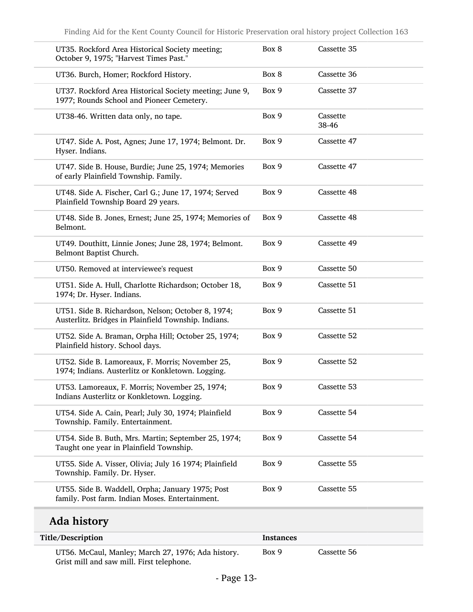| UT35. Rockford Area Historical Society meeting;<br>October 9, 1975; "Harvest Times Past."                  | Box 8 | Cassette 35       |
|------------------------------------------------------------------------------------------------------------|-------|-------------------|
| UT36. Burch, Homer; Rockford History.                                                                      | Box 8 | Cassette 36       |
| UT37. Rockford Area Historical Society meeting; June 9,<br>1977; Rounds School and Pioneer Cemetery.       | Box 9 | Cassette 37       |
| UT38-46. Written data only, no tape.                                                                       | Box 9 | Cassette<br>38-46 |
| UT47. Side A. Post, Agnes; June 17, 1974; Belmont. Dr.<br>Hyser. Indians.                                  | Box 9 | Cassette 47       |
| UT47. Side B. House, Burdie; June 25, 1974; Memories<br>of early Plainfield Township. Family.              | Box 9 | Cassette 47       |
| UT48. Side A. Fischer, Carl G.; June 17, 1974; Served<br>Plainfield Township Board 29 years.               | Box 9 | Cassette 48       |
| UT48. Side B. Jones, Ernest; June 25, 1974; Memories of<br>Belmont.                                        | Box 9 | Cassette 48       |
| UT49. Douthitt, Linnie Jones; June 28, 1974; Belmont.<br>Belmont Baptist Church.                           | Box 9 | Cassette 49       |
| UT50. Removed at interviewee's request                                                                     | Box 9 | Cassette 50       |
| UT51. Side A. Hull, Charlotte Richardson; October 18,<br>1974; Dr. Hyser. Indians.                         | Box 9 | Cassette 51       |
| UT51. Side B. Richardson, Nelson; October 8, 1974;<br>Austerlitz. Bridges in Plainfield Township. Indians. | Box 9 | Cassette 51       |
| UT52. Side A. Braman, Orpha Hill; October 25, 1974;<br>Plainfield history. School days.                    | Box 9 | Cassette 52       |
| UT52. Side B. Lamoreaux, F. Morris; November 25,<br>1974; Indians. Austerlitz or Konkletown. Logging.      | Box 9 | Cassette 52       |
| UT53. Lamoreaux, F. Morris; November 25, 1974;<br>Indians Austerlitz or Konkletown. Logging.               | Box 9 | Cassette 53       |
| UT54. Side A. Cain, Pearl; July 30, 1974; Plainfield<br>Township. Family. Entertainment.                   | Box 9 | Cassette 54       |
| UT54. Side B. Buth, Mrs. Martin; September 25, 1974;<br>Taught one year in Plainfield Township.            | Box 9 | Cassette 54       |
| UT55. Side A. Visser, Olivia; July 16 1974; Plainfield<br>Township. Family. Dr. Hyser.                     | Box 9 | Cassette 55       |
| UT55. Side B. Waddell, Orpha; January 1975; Post<br>family. Post farm. Indian Moses. Entertainment.        | Box 9 | Cassette 55       |

| Title/Description                                                                               | Instances |             |  |
|-------------------------------------------------------------------------------------------------|-----------|-------------|--|
| UT56. McCaul, Manley; March 27, 1976; Ada history.<br>Grist mill and saw mill. First telephone. | Box 9     | Cassette 56 |  |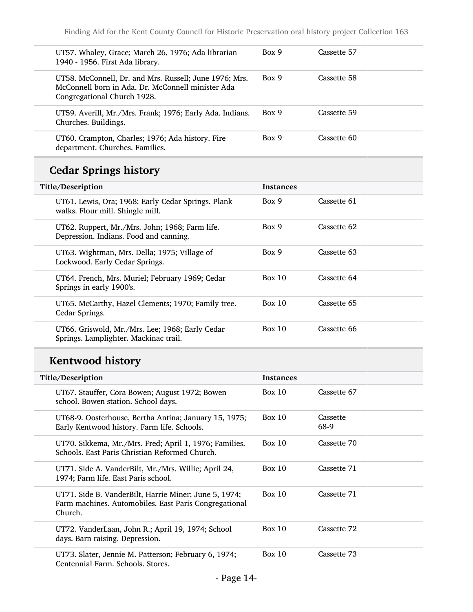| UT57. Whaley, Grace; March 26, 1976; Ada librarian<br>1940 - 1956. First Ada library.                                                      | Box 9 | Cassette 57 |
|--------------------------------------------------------------------------------------------------------------------------------------------|-------|-------------|
| UT58. McConnell, Dr. and Mrs. Russell; June 1976; Mrs.<br>McConnell born in Ada, Dr. McConnell minister Ada<br>Congregational Church 1928. | Box 9 | Cassette 58 |
| UT59. Averill, Mr./Mrs. Frank; 1976; Early Ada. Indians.<br>Churches. Buildings.                                                           | Box 9 | Cassette 59 |
| UT60. Crampton, Charles; 1976; Ada history. Fire<br>department. Churches. Families.                                                        | Box 9 | Cassette 60 |

## Cedar Springs history

| Title/Description |                                                                                          | <b>Instances</b> |             |
|-------------------|------------------------------------------------------------------------------------------|------------------|-------------|
|                   | UT61. Lewis, Ora; 1968; Early Cedar Springs. Plank<br>walks. Flour mill. Shingle mill.   | Box 9            | Cassette 61 |
|                   | UT62. Ruppert, Mr./Mrs. John; 1968; Farm life.<br>Depression. Indians. Food and canning. | Box 9            | Cassette 62 |
|                   | UT63. Wightman, Mrs. Della; 1975; Village of<br>Lockwood. Early Cedar Springs.           | Box 9            | Cassette 63 |
|                   | UT64. French, Mrs. Muriel; February 1969; Cedar<br>Springs in early 1900's.              | Box 10           | Cassette 64 |
|                   | UT65. McCarthy, Hazel Clements; 1970; Family tree.<br>Cedar Springs.                     | Box 10           | Cassette 65 |
|                   | UT66. Griswold, Mr./Mrs. Lee; 1968; Early Cedar<br>Springs. Lamplighter. Mackinac trail. | Box 10           | Cassette 66 |

## Kentwood history

| Title/Description                                                                                                         | Instances |                  |
|---------------------------------------------------------------------------------------------------------------------------|-----------|------------------|
| UT67. Stauffer, Cora Bowen; August 1972; Bowen<br>school. Bowen station. School days.                                     | Box 10    | Cassette 67      |
| UT68-9. Oosterhouse, Bertha Antina; January 15, 1975;<br>Early Kentwood history. Farm life. Schools.                      | Box 10    | Cassette<br>68-9 |
| UT70. Sikkema, Mr./Mrs. Fred; April 1, 1976; Families.<br>Schools. East Paris Christian Reformed Church.                  | Box 10    | Cassette 70      |
| UT71. Side A. VanderBilt, Mr./Mrs. Willie; April 24,<br>1974; Farm life. East Paris school.                               | Box $10$  | Cassette 71      |
| UT71. Side B. VanderBilt, Harrie Miner; June 5, 1974;<br>Farm machines. Automobiles. East Paris Congregational<br>Church. | Box 10    | Cassette 71      |
| UT72. VanderLaan, John R.; April 19, 1974; School<br>days. Barn raising. Depression.                                      | Box 10    | Cassette 72      |
| UT73. Slater, Jennie M. Patterson; February 6, 1974;<br>Centennial Farm. Schools. Stores.                                 | Box $10$  | Cassette 73      |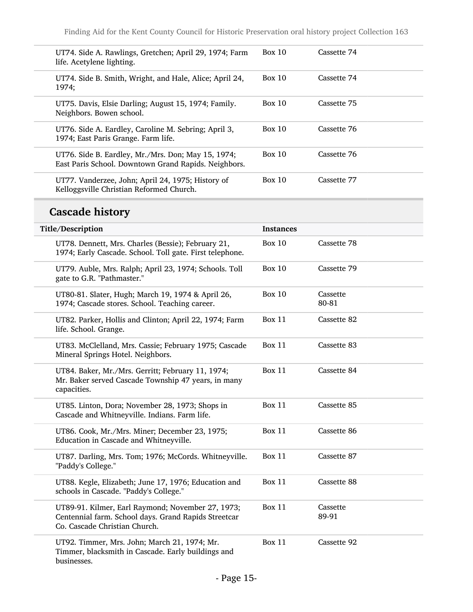| UT74. Side A. Rawlings, Gretchen; April 29, 1974; Farm<br>life. Acetylene lighting.                        | Box 10 | Cassette 74 |
|------------------------------------------------------------------------------------------------------------|--------|-------------|
| UT74. Side B. Smith, Wright, and Hale, Alice; April 24,<br>1974;                                           | Box 10 | Cassette 74 |
| UT75. Davis, Elsie Darling; August 15, 1974; Family.<br>Neighbors. Bowen school.                           | Box 10 | Cassette 75 |
| UT76. Side A. Eardley, Caroline M. Sebring; April 3,<br>1974; East Paris Grange. Farm life.                | Box 10 | Cassette 76 |
| UT76. Side B. Eardley, Mr./Mrs. Don; May 15, 1974;<br>East Paris School. Downtown Grand Rapids. Neighbors. | Box 10 | Cassette 76 |
| UT77. Vanderzee, John; April 24, 1975; History of<br>Kelloggsville Christian Reformed Church.              | Box 10 | Cassette 77 |

## Cascade history

| Title/Description                                                                                                                          | <b>Instances</b> |                   |
|--------------------------------------------------------------------------------------------------------------------------------------------|------------------|-------------------|
| UT78. Dennett, Mrs. Charles (Bessie); February 21,<br>1974; Early Cascade. School. Toll gate. First telephone.                             | <b>Box 10</b>    | Cassette 78       |
| UT79. Auble, Mrs. Ralph; April 23, 1974; Schools. Toll<br>gate to G.R. "Pathmaster."                                                       | <b>Box 10</b>    | Cassette 79       |
| UT80-81. Slater, Hugh; March 19, 1974 & April 26,<br>1974; Cascade stores. School. Teaching career.                                        | <b>Box 10</b>    | Cassette<br>80-81 |
| UT82. Parker, Hollis and Clinton; April 22, 1974; Farm<br>life. School. Grange.                                                            | <b>Box 11</b>    | Cassette 82       |
| UT83. McClelland, Mrs. Cassie; February 1975; Cascade<br>Mineral Springs Hotel. Neighbors.                                                 | <b>Box 11</b>    | Cassette 83       |
| UT84. Baker, Mr./Mrs. Gerritt; February 11, 1974;<br>Mr. Baker served Cascade Township 47 years, in many<br>capacities.                    | Box 11           | Cassette 84       |
| UT85. Linton, Dora; November 28, 1973; Shops in<br>Cascade and Whitneyville. Indians. Farm life.                                           | <b>Box 11</b>    | Cassette 85       |
| UT86. Cook, Mr./Mrs. Miner; December 23, 1975;<br>Education in Cascade and Whitneyville.                                                   | <b>Box 11</b>    | Cassette 86       |
| UT87. Darling, Mrs. Tom; 1976; McCords. Whitneyville.<br>"Paddy's College."                                                                | <b>Box 11</b>    | Cassette 87       |
| UT88. Kegle, Elizabeth; June 17, 1976; Education and<br>schools in Cascade. "Paddy's College."                                             | <b>Box 11</b>    | Cassette 88       |
| UT89-91. Kilmer, Earl Raymond; November 27, 1973;<br>Centennial farm. School days. Grand Rapids Streetcar<br>Co. Cascade Christian Church. | <b>Box 11</b>    | Cassette<br>89-91 |
| UT92. Timmer, Mrs. John; March 21, 1974; Mr.<br>Timmer, blacksmith in Cascade. Early buildings and<br>businesses.                          | <b>Box 11</b>    | Cassette 92       |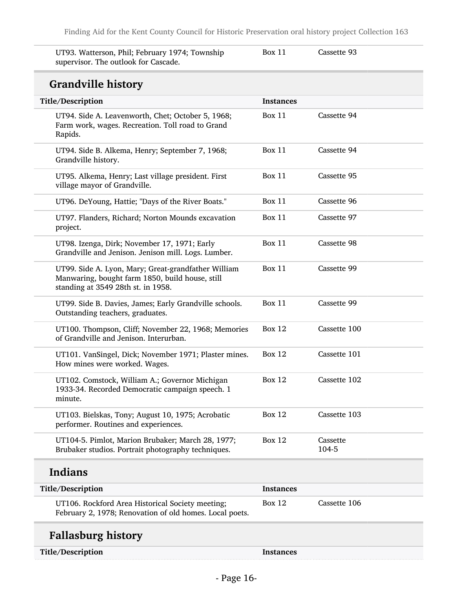UT93. Watterson, Phil; February 1974; Township supervisor. The outlook for Cascade.

Box 11 Cassette 93

### Grandville history

| THIRTHE THULDI                                                                                                                               |                  |                   |
|----------------------------------------------------------------------------------------------------------------------------------------------|------------------|-------------------|
| <b>Title/Description</b>                                                                                                                     | <b>Instances</b> |                   |
| UT94. Side A. Leavenworth, Chet; October 5, 1968;<br>Farm work, wages. Recreation. Toll road to Grand<br>Rapids.                             | Box 11           | Cassette 94       |
| UT94. Side B. Alkema, Henry; September 7, 1968;<br>Grandville history.                                                                       | Box 11           | Cassette 94       |
| UT95. Alkema, Henry; Last village president. First<br>village mayor of Grandville.                                                           | <b>Box 11</b>    | Cassette 95       |
| UT96. DeYoung, Hattie; "Days of the River Boats."                                                                                            | <b>Box 11</b>    | Cassette 96       |
| UT97. Flanders, Richard; Norton Mounds excavation<br>project.                                                                                | <b>Box 11</b>    | Cassette 97       |
| UT98. Izenga, Dirk; November 17, 1971; Early<br>Grandville and Jenison. Jenison mill. Logs. Lumber.                                          | <b>Box 11</b>    | Cassette 98       |
| UT99. Side A. Lyon, Mary; Great-grandfather William<br>Manwaring, bought farm 1850, build house, still<br>standing at 3549 28th st. in 1958. | <b>Box 11</b>    | Cassette 99       |
| UT99. Side B. Davies, James; Early Grandville schools.<br>Outstanding teachers, graduates.                                                   | <b>Box 11</b>    | Cassette 99       |
| UT100. Thompson, Cliff; November 22, 1968; Memories<br>of Grandville and Jenison. Interurban.                                                | <b>Box 12</b>    | Cassette 100      |
| UT101. VanSingel, Dick; November 1971; Plaster mines.<br>How mines were worked. Wages.                                                       | <b>Box 12</b>    | Cassette 101      |
| UT102. Comstock, William A.; Governor Michigan<br>1933-34. Recorded Democratic campaign speech. 1<br>minute.                                 | <b>Box 12</b>    | Cassette 102      |
| UT103. Bielskas, Tony; August 10, 1975; Acrobatic<br>performer. Routines and experiences.                                                    | <b>Box 12</b>    | Cassette 103      |
| UT104-5. Pimlot, Marion Brubaker; March 28, 1977;<br>Brubaker studios. Portrait photography techniques.                                      | <b>Box 12</b>    | Cassette<br>104-5 |
| Indians                                                                                                                                      |                  |                   |
| Title/Description                                                                                                                            | <b>Instances</b> |                   |
| UT106. Rockford Area Historical Society meeting;<br>February 2, 1978; Renovation of old homes. Local poets.                                  | <b>Box 12</b>    | Cassette 106      |
| <b>Fallasburg history</b>                                                                                                                    |                  |                   |
| Title/Description                                                                                                                            | <b>Instances</b> |                   |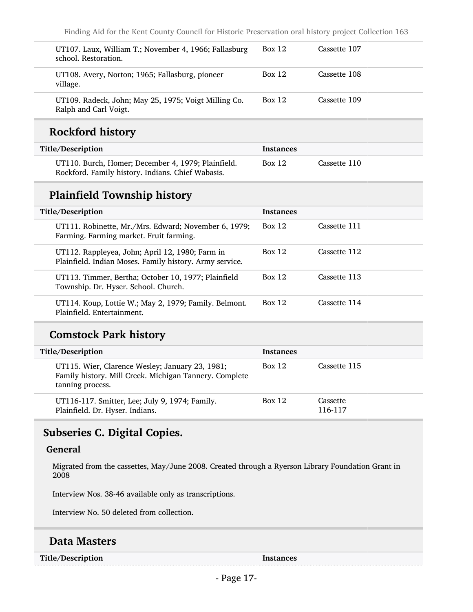| UT107. Laux, William T.; November 4, 1966; Fallasburg<br>school. Restoration. | <b>Box 12</b> | Cassette 107 |
|-------------------------------------------------------------------------------|---------------|--------------|
| UT108. Avery, Norton; 1965; Fallasburg, pioneer<br>village.                   | <b>Box 12</b> | Cassette 108 |
| UT109. Radeck, John; May 25, 1975; Voigt Milling Co.<br>Ralph and Carl Voigt. | <b>Box 12</b> | Cassette 109 |

### Rockford history

| Title/Description                                                                                       | Instances     |              |
|---------------------------------------------------------------------------------------------------------|---------------|--------------|
| UT110. Burch, Homer; December 4, 1979; Plainfield.<br>Rockford. Family history. Indians. Chief Wabasis. | <b>Box 12</b> | Cassette 110 |

### Plainfield Township history

| Title/Description |                                                                                                            | <b>Instances</b> |              |
|-------------------|------------------------------------------------------------------------------------------------------------|------------------|--------------|
|                   | UT111. Robinette, Mr./Mrs. Edward; November 6, 1979;<br>Farming. Farming market. Fruit farming.            | <b>Box 12</b>    | Cassette 111 |
|                   | UT112. Rappleyea, John; April 12, 1980; Farm in<br>Plainfield. Indian Moses. Family history. Army service. | Box 12           | Cassette 112 |
|                   | UT113. Timmer, Bertha; October 10, 1977; Plainfield<br>Township. Dr. Hyser. School. Church.                | Box 12           | Cassette 113 |
|                   | UT114. Koup, Lottie W.; May 2, 1979; Family. Belmont.<br>Plainfield. Entertainment.                        | <b>Box 12</b>    | Cassette 114 |

### Comstock Park history

| Title/Description                                                                                                             | <b>Instances</b> |                     |
|-------------------------------------------------------------------------------------------------------------------------------|------------------|---------------------|
| UT115. Wier, Clarence Wesley; January 23, 1981;<br>Family history. Mill Creek. Michigan Tannery. Complete<br>tanning process. | <b>Box 12</b>    | Cassette 115        |
| UT116-117. Smitter, Lee; July 9, 1974; Family.<br>Plainfield. Dr. Hyser. Indians.                                             | Box 12           | Cassette<br>116-117 |

#### <span id="page-16-0"></span>Subseries C. Digital Copies.

#### General

Migrated from the cassettes, May/June 2008. Created through a Ryerson Library Foundation Grant in 2008

Interview Nos. 38-46 available only as transcriptions.

Interview No. 50 deleted from collection.

#### Data Masters

Title/Description Instances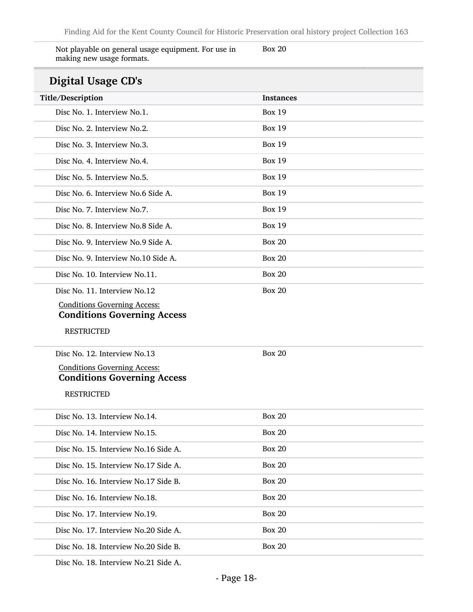| Not playable on general usage equipment. For use in | Box 20 |
|-----------------------------------------------------|--------|
| making new usage formats.                           |        |

### Digital Usage CD's

| Digital Usage CD's                                                        |                  |
|---------------------------------------------------------------------------|------------------|
| Title/Description                                                         | <b>Instances</b> |
| Disc No. 1. Interview No.1.                                               | <b>Box 19</b>    |
| Disc No. 2. Interview No.2.                                               | <b>Box 19</b>    |
| Disc No. 3. Interview No.3.                                               | <b>Box 19</b>    |
| Disc No. 4. Interview No. 4.                                              | <b>Box 19</b>    |
| Disc No. 5. Interview No.5.                                               | <b>Box 19</b>    |
| Disc No. 6. Interview No.6 Side A.                                        | <b>Box 19</b>    |
| Disc No. 7. Interview No.7.                                               | <b>Box 19</b>    |
| Disc No. 8. Interview No.8 Side A.                                        | <b>Box 19</b>    |
| Disc No. 9. Interview No.9 Side A.                                        | <b>Box 20</b>    |
| Disc No. 9. Interview No.10 Side A.                                       | <b>Box 20</b>    |
| Disc No. 10. Interview No.11.                                             | <b>Box 20</b>    |
| Disc No. 11. Interview No.12                                              | <b>Box 20</b>    |
| <b>Conditions Governing Access:</b><br><b>Conditions Governing Access</b> |                  |
| <b>RESTRICTED</b>                                                         |                  |
| Disc No. 12. Interview No.13                                              | <b>Box 20</b>    |
| <b>Conditions Governing Access:</b>                                       |                  |
| <b>Conditions Governing Access</b>                                        |                  |
| <b>RESTRICTED</b>                                                         |                  |
| Disc No. 13. Interview No.14.                                             | <b>Box 20</b>    |
| Disc No. 14. Interview No.15.                                             | <b>Box 20</b>    |
| Disc No. 15. Interview No.16 Side A.                                      | <b>Box 20</b>    |
| Disc No. 15. Interview No.17 Side A.                                      | <b>Box 20</b>    |
| Disc No. 16. Interview No.17 Side B.                                      | <b>Box 20</b>    |
| Disc No. 16. Interview No.18.                                             | <b>Box 20</b>    |
| Disc No. 17. Interview No.19.                                             | <b>Box 20</b>    |
| Disc No. 17. Interview No. 20 Side A.                                     | <b>Box 20</b>    |
| Disc No. 18. Interview No. 20 Side B.                                     | <b>Box 20</b>    |
|                                                                           |                  |

Disc No. 18. Interview No.21 Side A.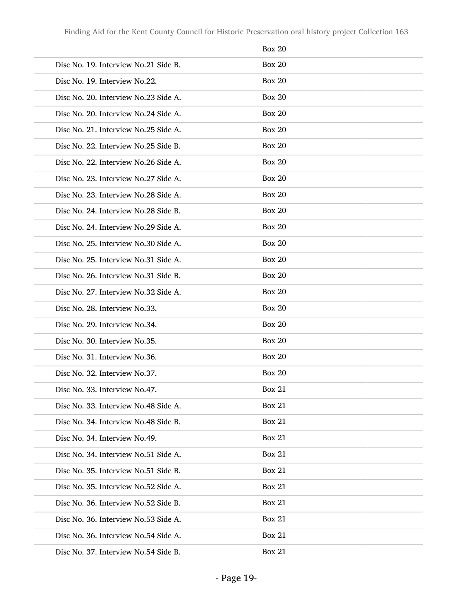|                                       | <b>Box 20</b> |
|---------------------------------------|---------------|
| Disc No. 19. Interview No.21 Side B.  | <b>Box 20</b> |
| Disc No. 19. Interview No.22.         | <b>Box 20</b> |
| Disc No. 20. Interview No. 23 Side A. | <b>Box 20</b> |
| Disc No. 20. Interview No.24 Side A.  | <b>Box 20</b> |
| Disc No. 21. Interview No.25 Side A.  | <b>Box 20</b> |
| Disc No. 22. Interview No.25 Side B.  | <b>Box 20</b> |
| Disc No. 22. Interview No. 26 Side A. | <b>Box 20</b> |
| Disc No. 23. Interview No.27 Side A.  | <b>Box 20</b> |
| Disc No. 23. Interview No. 28 Side A. | <b>Box 20</b> |
| Disc No. 24. Interview No. 28 Side B. | <b>Box 20</b> |
| Disc No. 24. Interview No. 29 Side A. | <b>Box 20</b> |
| Disc No. 25. Interview No.30 Side A.  | <b>Box 20</b> |
| Disc No. 25. Interview No.31 Side A.  | <b>Box 20</b> |
| Disc No. 26. Interview No.31 Side B.  | <b>Box 20</b> |
| Disc No. 27. Interview No.32 Side A.  | <b>Box 20</b> |
| Disc No. 28. Interview No.33.         | <b>Box 20</b> |
| Disc No. 29. Interview No.34.         | <b>Box 20</b> |
| Disc No. 30. Interview No.35.         | <b>Box 20</b> |
| Disc No. 31. Interview No.36.         | <b>Box 20</b> |
| Disc No. 32. Interview No.37.         | <b>Box 20</b> |
| Disc No. 33. Interview No. 47.        | <b>Box 21</b> |
| Disc No. 33. Interview No. 48 Side A. | <b>Box 21</b> |
| Disc No. 34. Interview No. 48 Side B. | <b>Box 21</b> |
| Disc No. 34. Interview No.49.         | <b>Box 21</b> |
| Disc No. 34. Interview No.51 Side A.  | <b>Box 21</b> |
| Disc No. 35. Interview No.51 Side B.  | <b>Box 21</b> |
| Disc No. 35. Interview No.52 Side A.  | <b>Box 21</b> |
| Disc No. 36. Interview No.52 Side B.  | <b>Box 21</b> |
| Disc No. 36. Interview No.53 Side A.  | <b>Box 21</b> |
| Disc No. 36. Interview No.54 Side A.  | <b>Box 21</b> |
| Disc No. 37. Interview No.54 Side B.  | <b>Box 21</b> |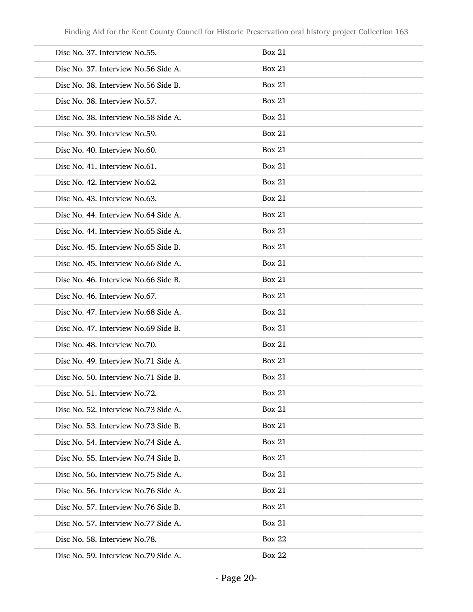| Disc No. 37. Interview No.55.        | <b>Box 21</b> |
|--------------------------------------|---------------|
| Disc No. 37. Interview No.56 Side A. | <b>Box 21</b> |
| Disc No. 38. Interview No.56 Side B. | <b>Box 21</b> |
| Disc No. 38. Interview No.57.        | <b>Box 21</b> |
| Disc No. 38. Interview No.58 Side A. | <b>Box 21</b> |
| Disc No. 39. Interview No.59.        | <b>Box 21</b> |
| Disc No. 40. Interview No.60.        | <b>Box 21</b> |
| Disc No. 41. Interview No.61.        | <b>Box 21</b> |
| Disc No. 42. Interview No.62.        | <b>Box 21</b> |
| Disc No. 43. Interview No.63.        | <b>Box 21</b> |
| Disc No. 44. Interview No.64 Side A. | <b>Box 21</b> |
| Disc No. 44. Interview No.65 Side A. | <b>Box 21</b> |
| Disc No. 45. Interview No.65 Side B. | <b>Box 21</b> |
| Disc No. 45. Interview No.66 Side A. | <b>Box 21</b> |
| Disc No. 46. Interview No.66 Side B. | <b>Box 21</b> |
| Disc No. 46. Interview No.67.        | <b>Box 21</b> |
| Disc No. 47. Interview No.68 Side A. | <b>Box 21</b> |
| Disc No. 47. Interview No.69 Side B. | <b>Box 21</b> |
| Disc No. 48. Interview No.70.        | <b>Box 21</b> |
| Disc No. 49. Interview No.71 Side A. | <b>Box 21</b> |
| Disc No. 50. Interview No.71 Side B. | <b>Box 21</b> |
| Disc No. 51. Interview No.72.        | <b>Box 21</b> |
| Disc No. 52. Interview No.73 Side A. | <b>Box 21</b> |
| Disc No. 53. Interview No.73 Side B. | <b>Box 21</b> |
| Disc No. 54. Interview No.74 Side A. | <b>Box 21</b> |
| Disc No. 55. Interview No.74 Side B. | <b>Box 21</b> |
| Disc No. 56. Interview No.75 Side A. | <b>Box 21</b> |
| Disc No. 56. Interview No.76 Side A. | <b>Box 21</b> |
| Disc No. 57. Interview No.76 Side B. | <b>Box 21</b> |
| Disc No. 57. Interview No.77 Side A. | <b>Box 21</b> |
| Disc No. 58. Interview No.78.        | <b>Box 22</b> |
| Disc No. 59. Interview No.79 Side A. | <b>Box 22</b> |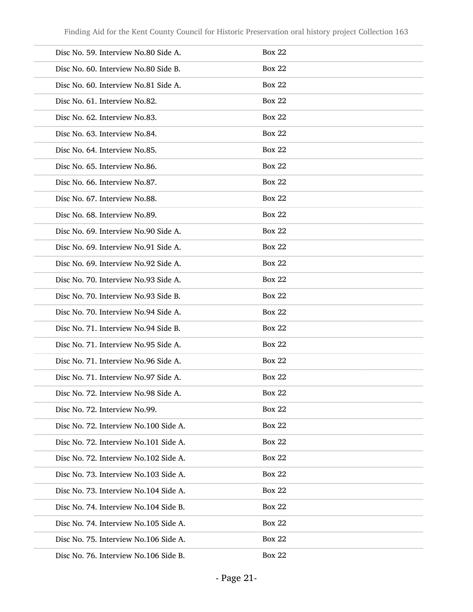| Disc No. 59. Interview No.80 Side A.  | <b>Box 22</b> |
|---------------------------------------|---------------|
| Disc No. 60. Interview No.80 Side B.  | <b>Box 22</b> |
| Disc No. 60. Interview No.81 Side A.  | <b>Box 22</b> |
| Disc No. 61. Interview No.82.         | <b>Box 22</b> |
| Disc No. 62. Interview No.83.         | <b>Box 22</b> |
| Disc No. 63. Interview No.84.         | <b>Box 22</b> |
| Disc No. 64. Interview No.85.         | <b>Box 22</b> |
| Disc No. 65. Interview No.86.         | <b>Box 22</b> |
| Disc No. 66. Interview No.87.         | <b>Box 22</b> |
| Disc No. 67. Interview No.88.         | <b>Box 22</b> |
| Disc No. 68. Interview No.89.         | <b>Box 22</b> |
| Disc No. 69. Interview No.90 Side A.  | <b>Box 22</b> |
| Disc No. 69. Interview No.91 Side A.  | <b>Box 22</b> |
| Disc No. 69. Interview No.92 Side A.  | <b>Box 22</b> |
| Disc No. 70. Interview No.93 Side A.  | <b>Box 22</b> |
| Disc No. 70. Interview No.93 Side B.  | <b>Box 22</b> |
| Disc No. 70. Interview No.94 Side A.  | <b>Box 22</b> |
| Disc No. 71. Interview No.94 Side B.  | <b>Box 22</b> |
| Disc No. 71. Interview No.95 Side A.  | <b>Box 22</b> |
| Disc No. 71. Interview No.96 Side A.  | <b>Box 22</b> |
| Disc No. 71. Interview No.97 Side A.  | <b>Box 22</b> |
| Disc No. 72. Interview No.98 Side A.  | Box 22        |
| Disc No. 72. Interview No.99.         | <b>Box 22</b> |
| Disc No. 72. Interview No.100 Side A. | <b>Box 22</b> |
| Disc No. 72. Interview No.101 Side A. | <b>Box 22</b> |
| Disc No. 72. Interview No.102 Side A. | <b>Box 22</b> |
| Disc No. 73. Interview No.103 Side A. | <b>Box 22</b> |
| Disc No. 73. Interview No.104 Side A. | <b>Box 22</b> |
| Disc No. 74. Interview No.104 Side B. | <b>Box 22</b> |
| Disc No. 74. Interview No.105 Side A. | <b>Box 22</b> |
| Disc No. 75. Interview No.106 Side A. | <b>Box 22</b> |
| Disc No. 76. Interview No.106 Side B. | <b>Box 22</b> |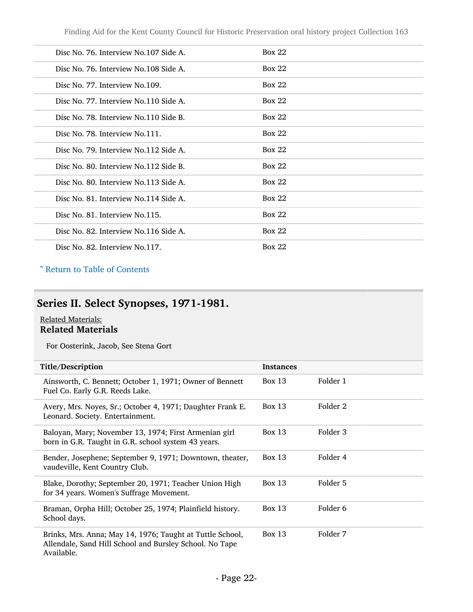| Disc No. 76. Interview No.107 Side A.  | Box 22        |
|----------------------------------------|---------------|
| Disc No. 76. Interview No. 108 Side A. | Box 22        |
| Disc No. 77. Interview No.109.         | <b>Box 22</b> |
| Disc No. 77. Interview No.110 Side A.  | Box 22        |
| Disc No. 78. Interview No.110 Side B.  | Box 22        |
| Disc No. 78. Interview No. 111.        | Box 22        |
| Disc No. 79. Interview No.112 Side A.  | Box 22        |
| Disc No. 80. Interview No.112 Side B.  | Box 22        |
| Disc No. 80. Interview No.113 Side A.  | Box 22        |
| Disc No. 81. Interview No.114 Side A.  | Box 22        |
| Disc No. 81. Interview No.115.         | <b>Box 22</b> |
| Disc No. 82. Interview No.116 Side A.  | Box 22        |
| Disc No. 82. Interview No.117.         | <b>Box 22</b> |

#### ^ [Return to Table of Contents](#page-1-0)

## <span id="page-21-0"></span>Series II. Select Synopses, 1971-1981.

#### Related Materials: Related Materials

For Oosterink, Jacob, See Stena Gort

| Title/Description                                                                                                                  | <b>Instances</b> |                     |
|------------------------------------------------------------------------------------------------------------------------------------|------------------|---------------------|
| Ainsworth, C. Bennett; October 1, 1971; Owner of Bennett<br>Fuel Co. Early G.R. Reeds Lake.                                        | Box 13           | Folder 1            |
| Avery, Mrs. Noyes, Sr.; October 4, 1971; Daughter Frank E.<br>Leonard. Society. Entertainment.                                     | Box 13           | Folder 2            |
| Baloyan, Mary; November 13, 1974; First Armenian girl<br>born in G.R. Taught in G.R. school system 43 years.                       | Box 13           | Folder 3            |
| Bender, Josephene; September 9, 1971; Downtown, theater,<br>vaudeville, Kent Country Club.                                         | Box $13$         | Folder 4            |
| Blake, Dorothy; September 20, 1971; Teacher Union High<br>for 34 years. Women's Suffrage Movement.                                 | Box $13$         | Folder 5            |
| Braman, Orpha Hill; October 25, 1974; Plainfield history.<br>School days.                                                          | Box 13           | Folder <sub>6</sub> |
| Brinks, Mrs. Anna; May 14, 1976; Taught at Tuttle School,<br>Allendale, Sand Hill School and Bursley School. No Tape<br>Available. | Box 13           | Folder 7            |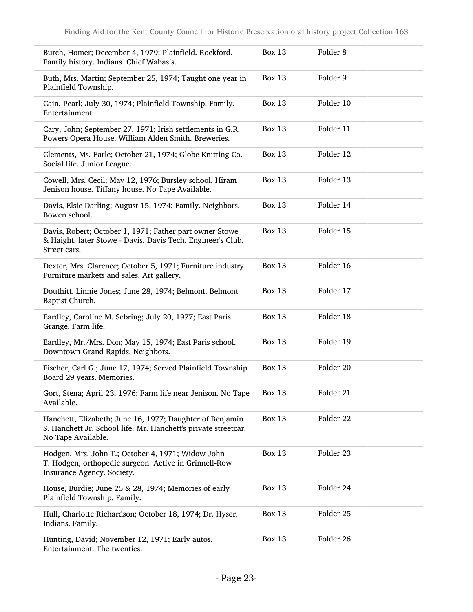| Burch, Homer; December 4, 1979; Plainfield. Rockford.<br>Family history. Indians. Chief Wabasis.                                                 | <b>Box 13</b> | Folder <sub>8</sub> |
|--------------------------------------------------------------------------------------------------------------------------------------------------|---------------|---------------------|
| Buth, Mrs. Martin; September 25, 1974; Taught one year in<br>Plainfield Township.                                                                | <b>Box 13</b> | Folder 9            |
| Cain, Pearl; July 30, 1974; Plainfield Township. Family.<br>Entertainment.                                                                       | <b>Box 13</b> | Folder 10           |
| Cary, John; September 27, 1971; Irish settlements in G.R.<br>Powers Opera House. William Alden Smith. Breweries.                                 | <b>Box 13</b> | Folder 11           |
| Clements, Ms. Earle; October 21, 1974; Globe Knitting Co.<br>Social life. Junior League.                                                         | <b>Box 13</b> | Folder 12           |
| Cowell, Mrs. Cecil; May 12, 1976; Bursley school. Hiram<br>Jenison house. Tiffany house. No Tape Available.                                      | <b>Box 13</b> | Folder 13           |
| Davis, Elsie Darling; August 15, 1974; Family. Neighbors.<br>Bowen school.                                                                       | <b>Box 13</b> | Folder 14           |
| Davis, Robert; October 1, 1971; Father part owner Stowe<br>& Haight, later Stowe - Davis. Davis Tech. Engineer's Club.<br>Street cars.           | <b>Box 13</b> | Folder 15           |
| Dexter, Mrs. Clarence; October 5, 1971; Furniture industry.<br>Furniture markets and sales. Art gallery.                                         | <b>Box 13</b> | Folder 16           |
| Douthitt, Linnie Jones; June 28, 1974; Belmont. Belmont<br>Baptist Church.                                                                       | <b>Box 13</b> | Folder 17           |
| Eardley, Caroline M. Sebring; July 20, 1977; East Paris<br>Grange. Farm life.                                                                    | <b>Box 13</b> | Folder 18           |
| Eardley, Mr./Mrs. Don; May 15, 1974; East Paris school.<br>Downtown Grand Rapids. Neighbors.                                                     | <b>Box 13</b> | Folder 19           |
| Fischer, Carl G.; June 17, 1974; Served Plainfield Township<br>Board 29 years. Memories.                                                         | <b>Box 13</b> | Folder 20           |
| Gort, Stena; April 23, 1976; Farm life near Jenison. No Tape<br>Available.                                                                       | <b>Box 13</b> | Folder 21           |
| Hanchett, Elizabeth; June 16, 1977; Daughter of Benjamin<br>S. Hanchett Jr. School life. Mr. Hanchett's private streetcar.<br>No Tape Available. | <b>Box 13</b> | Folder 22           |
| Hodgen, Mrs. John T.; October 4, 1971; Widow John<br>T. Hodgen, orthopedic surgeon. Active in Grinnell-Row<br>Insurance Agency. Society.         | <b>Box 13</b> | Folder 23           |
| House, Burdie; June 25 & 28, 1974; Memories of early<br>Plainfield Township. Family.                                                             | <b>Box 13</b> | Folder 24           |
| Hull, Charlotte Richardson; October 18, 1974; Dr. Hyser.<br>Indians. Family.                                                                     | <b>Box 13</b> | Folder 25           |
| Hunting, David; November 12, 1971; Early autos.<br>Entertainment. The twenties.                                                                  | <b>Box 13</b> | Folder 26           |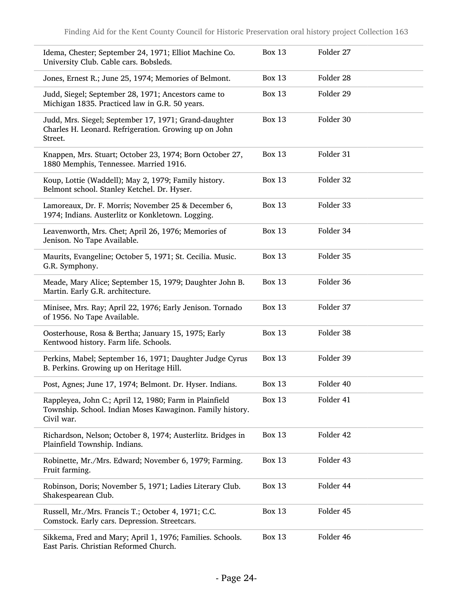| Idema, Chester; September 24, 1971; Elliot Machine Co.<br>University Club. Cable cars. Bobsleds.                                  | <b>Box 13</b> | Folder 27 |
|-----------------------------------------------------------------------------------------------------------------------------------|---------------|-----------|
| Jones, Ernest R.; June 25, 1974; Memories of Belmont.                                                                             | <b>Box 13</b> | Folder 28 |
| Judd, Siegel; September 28, 1971; Ancestors came to<br>Michigan 1835. Practiced law in G.R. 50 years.                             | <b>Box 13</b> | Folder 29 |
| Judd, Mrs. Siegel; September 17, 1971; Grand-daughter<br>Charles H. Leonard. Refrigeration. Growing up on John<br>Street.         | <b>Box 13</b> | Folder 30 |
| Knappen, Mrs. Stuart; October 23, 1974; Born October 27,<br>1880 Memphis, Tennessee. Married 1916.                                | <b>Box 13</b> | Folder 31 |
| Koup, Lottie (Waddell); May 2, 1979; Family history.<br>Belmont school. Stanley Ketchel. Dr. Hyser.                               | <b>Box 13</b> | Folder 32 |
| Lamoreaux, Dr. F. Morris; November 25 & December 6,<br>1974; Indians. Austerlitz or Konkletown. Logging.                          | <b>Box 13</b> | Folder 33 |
| Leavenworth, Mrs. Chet; April 26, 1976; Memories of<br>Jenison. No Tape Available.                                                | <b>Box 13</b> | Folder 34 |
| Maurits, Evangeline; October 5, 1971; St. Cecilia. Music.<br>G.R. Symphony.                                                       | <b>Box 13</b> | Folder 35 |
| Meade, Mary Alice; September 15, 1979; Daughter John B.<br>Martin. Early G.R. architecture.                                       | <b>Box 13</b> | Folder 36 |
| Minisee, Mrs. Ray; April 22, 1976; Early Jenison. Tornado<br>of 1956. No Tape Available.                                          | <b>Box 13</b> | Folder 37 |
| Oosterhouse, Rosa & Bertha; January 15, 1975; Early<br>Kentwood history. Farm life. Schools.                                      | <b>Box 13</b> | Folder 38 |
| Perkins, Mabel; September 16, 1971; Daughter Judge Cyrus<br>B. Perkins. Growing up on Heritage Hill.                              | <b>Box 13</b> | Folder 39 |
| Post, Agnes; June 17, 1974; Belmont. Dr. Hyser. Indians.                                                                          | <b>Box 13</b> | Folder 40 |
| Rappleyea, John C.; April 12, 1980; Farm in Plainfield<br>Township. School. Indian Moses Kawaginon. Family history.<br>Civil war. | <b>Box 13</b> | Folder 41 |
| Richardson, Nelson; October 8, 1974; Austerlitz. Bridges in<br>Plainfield Township. Indians.                                      | <b>Box 13</b> | Folder 42 |
| Robinette, Mr./Mrs. Edward; November 6, 1979; Farming.<br>Fruit farming.                                                          | <b>Box 13</b> | Folder 43 |
| Robinson, Doris; November 5, 1971; Ladies Literary Club.<br>Shakespearean Club.                                                   | <b>Box 13</b> | Folder 44 |
| Russell, Mr./Mrs. Francis T.; October 4, 1971; C.C.<br>Comstock. Early cars. Depression. Streetcars.                              | <b>Box 13</b> | Folder 45 |
| Sikkema, Fred and Mary; April 1, 1976; Families. Schools.<br>East Paris. Christian Reformed Church.                               | <b>Box 13</b> | Folder 46 |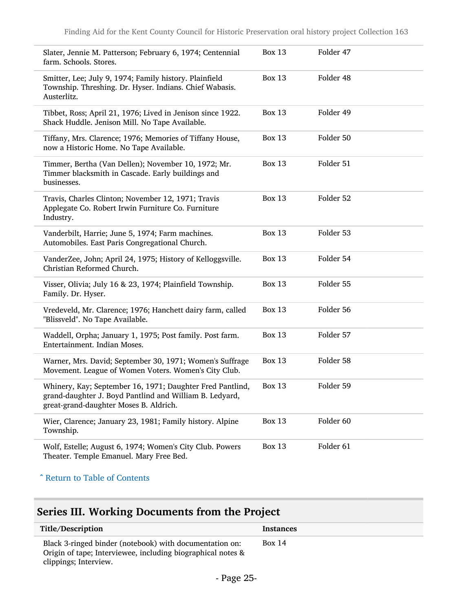| Slater, Jennie M. Patterson; February 6, 1974; Centennial<br>farm. Schools. Stores.                                                                            | <b>Box 13</b> | Folder 47 |
|----------------------------------------------------------------------------------------------------------------------------------------------------------------|---------------|-----------|
| Smitter, Lee; July 9, 1974; Family history. Plainfield<br>Township. Threshing. Dr. Hyser. Indians. Chief Wabasis.<br>Austerlitz.                               | <b>Box 13</b> | Folder 48 |
| Tibbet, Ross; April 21, 1976; Lived in Jenison since 1922.<br>Shack Huddle. Jenison Mill. No Tape Available.                                                   | <b>Box 13</b> | Folder 49 |
| Tiffany, Mrs. Clarence; 1976; Memories of Tiffany House,<br>now a Historic Home. No Tape Available.                                                            | <b>Box 13</b> | Folder 50 |
| Timmer, Bertha (Van Dellen); November 10, 1972; Mr.<br>Timmer blacksmith in Cascade. Early buildings and<br>businesses.                                        | <b>Box 13</b> | Folder 51 |
| Travis, Charles Clinton; November 12, 1971; Travis<br>Applegate Co. Robert Irwin Furniture Co. Furniture<br>Industry.                                          | <b>Box 13</b> | Folder 52 |
| Vanderbilt, Harrie; June 5, 1974; Farm machines.<br>Automobiles. East Paris Congregational Church.                                                             | <b>Box 13</b> | Folder 53 |
| VanderZee, John; April 24, 1975; History of Kelloggsville.<br>Christian Reformed Church.                                                                       | <b>Box 13</b> | Folder 54 |
| Visser, Olivia; July 16 & 23, 1974; Plainfield Township.<br>Family. Dr. Hyser.                                                                                 | <b>Box 13</b> | Folder 55 |
| Vredeveld, Mr. Clarence; 1976; Hanchett dairy farm, called<br>"Blissveld". No Tape Available.                                                                  | <b>Box 13</b> | Folder 56 |
| Waddell, Orpha; January 1, 1975; Post family. Post farm.<br>Entertainment. Indian Moses.                                                                       | <b>Box 13</b> | Folder 57 |
| Warner, Mrs. David; September 30, 1971; Women's Suffrage<br>Movement. League of Women Voters. Women's City Club.                                               | <b>Box 13</b> | Folder 58 |
| Whinery, Kay; September 16, 1971; Daughter Fred Pantlind,<br>grand-daughter J. Boyd Pantlind and William B. Ledyard,<br>great-grand-daughter Moses B. Aldrich. | <b>Box 13</b> | Folder 59 |
| Wier, Clarence; January 23, 1981; Family history. Alpine<br>Township.                                                                                          | <b>Box 13</b> | Folder 60 |
| Wolf, Estelle; August 6, 1974; Women's City Club. Powers<br>Theater. Temple Emanuel. Mary Free Bed.                                                            | <b>Box 13</b> | Folder 61 |
|                                                                                                                                                                |               |           |

#### ^ [Return to Table of Contents](#page-1-0)

## <span id="page-24-0"></span>Series III. Working Documents from the Project

| Title/Description                                                                                                                               | <b>Instances</b> |
|-------------------------------------------------------------------------------------------------------------------------------------------------|------------------|
| Black 3-ringed binder (notebook) with documentation on:<br>Origin of tape; Interviewee, including biographical notes &<br>clippings; Interview. | <b>Box 14</b>    |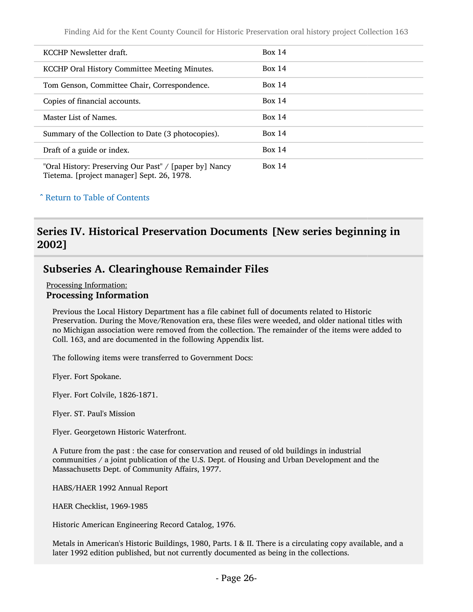Finding Aid for the Kent County Council for Historic Preservation oral history project Collection 163

| KCCHP Newsletter draft.                                                                              | Box 14 |
|------------------------------------------------------------------------------------------------------|--------|
| KCCHP Oral History Committee Meeting Minutes.                                                        | Box 14 |
| Tom Genson, Committee Chair, Correspondence.                                                         | Box 14 |
| Copies of financial accounts.                                                                        | Box 14 |
| Master List of Names.                                                                                | Box 14 |
| Summary of the Collection to Date (3 photocopies).                                                   | Box 14 |
| Draft of a guide or index.                                                                           | Box 14 |
| "Oral History: Preserving Our Past" / [paper by] Nancy<br>Tietema. [project manager] Sept. 26, 1978. | Box 14 |

#### ^ [Return to Table of Contents](#page-1-0)

#### <span id="page-25-0"></span>Series IV. Historical Preservation Documents [New series beginning in 2002]

#### <span id="page-25-1"></span>Subseries A. Clearinghouse Remainder Files

Processing Information: Processing Information

Previous the Local History Department has a file cabinet full of documents related to Historic Preservation. During the Move/Renovation era, these files were weeded, and older national titles with no Michigan association were removed from the collection. The remainder of the items were added to Coll. 163, and are documented in the following Appendix list.

The following items were transferred to Government Docs:

Flyer. Fort Spokane.

Flyer. Fort Colvile, 1826-1871.

Flyer. ST. Paul's Mission

Flyer. Georgetown Historic Waterfront.

A Future from the past : the case for conservation and reused of old buildings in industrial communities / a joint publication of the U.S. Dept. of Housing and Urban Development and the Massachusetts Dept. of Community Affairs, 1977.

HABS/HAER 1992 Annual Report

HAER Checklist, 1969-1985

Historic American Engineering Record Catalog, 1976.

Metals in American's Historic Buildings, 1980, Parts. I & II. There is a circulating copy available, and a later 1992 edition published, but not currently documented as being in the collections.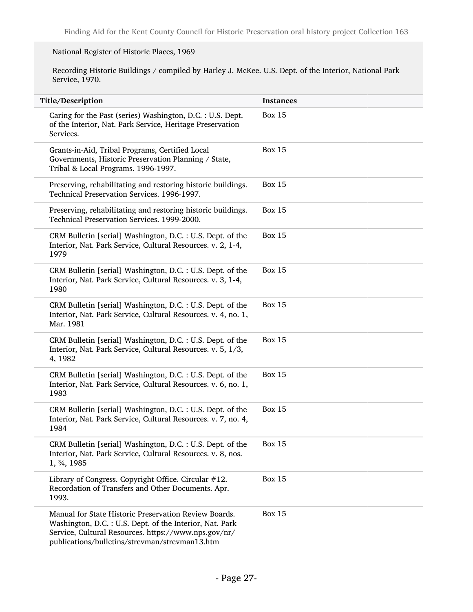#### National Register of Historic Places, 1969

Recording Historic Buildings / compiled by Harley J. McKee. U.S. Dept. of the Interior, National Park Service, 1970.

| Title/Description                                                                                                                                                                                                           | <b>Instances</b> |
|-----------------------------------------------------------------------------------------------------------------------------------------------------------------------------------------------------------------------------|------------------|
| Caring for the Past (series) Washington, D.C. : U.S. Dept.<br>of the Interior, Nat. Park Service, Heritage Preservation<br>Services.                                                                                        | <b>Box 15</b>    |
| Grants-in-Aid, Tribal Programs, Certified Local<br>Governments, Historic Preservation Planning / State,<br>Tribal & Local Programs. 1996-1997.                                                                              | <b>Box 15</b>    |
| Preserving, rehabilitating and restoring historic buildings.<br>Technical Preservation Services. 1996-1997.                                                                                                                 | <b>Box 15</b>    |
| Preserving, rehabilitating and restoring historic buildings.<br>Technical Preservation Services. 1999-2000.                                                                                                                 | <b>Box 15</b>    |
| CRM Bulletin [serial] Washington, D.C. : U.S. Dept. of the<br>Interior, Nat. Park Service, Cultural Resources. v. 2, 1-4,<br>1979                                                                                           | <b>Box 15</b>    |
| CRM Bulletin [serial] Washington, D.C. : U.S. Dept. of the<br>Interior, Nat. Park Service, Cultural Resources. v. 3, 1-4,<br>1980                                                                                           | <b>Box 15</b>    |
| CRM Bulletin [serial] Washington, D.C. : U.S. Dept. of the<br>Interior, Nat. Park Service, Cultural Resources. v. 4, no. 1,<br>Mar. 1981                                                                                    | <b>Box 15</b>    |
| CRM Bulletin [serial] Washington, D.C. : U.S. Dept. of the<br>Interior, Nat. Park Service, Cultural Resources. v. 5, 1/3,<br>4, 1982                                                                                        | <b>Box 15</b>    |
| CRM Bulletin [serial] Washington, D.C. : U.S. Dept. of the<br>Interior, Nat. Park Service, Cultural Resources. v. 6, no. 1,<br>1983                                                                                         | <b>Box 15</b>    |
| CRM Bulletin [serial] Washington, D.C. : U.S. Dept. of the<br>Interior, Nat. Park Service, Cultural Resources. v. 7, no. 4,<br>1984                                                                                         | <b>Box 15</b>    |
| CRM Bulletin [serial] Washington, D.C.: U.S. Dept. of the<br>Interior, Nat. Park Service, Cultural Resources. v. 8, nos.<br>1, 3/4, 1985                                                                                    | <b>Box 15</b>    |
| Library of Congress. Copyright Office. Circular #12.<br>Recordation of Transfers and Other Documents. Apr.<br>1993.                                                                                                         | <b>Box 15</b>    |
| Manual for State Historic Preservation Review Boards.<br>Washington, D.C. : U.S. Dept. of the Interior, Nat. Park<br>Service, Cultural Resources. https://www.nps.gov/nr/<br>publications/bulletins/strevman/strevman13.htm | <b>Box 15</b>    |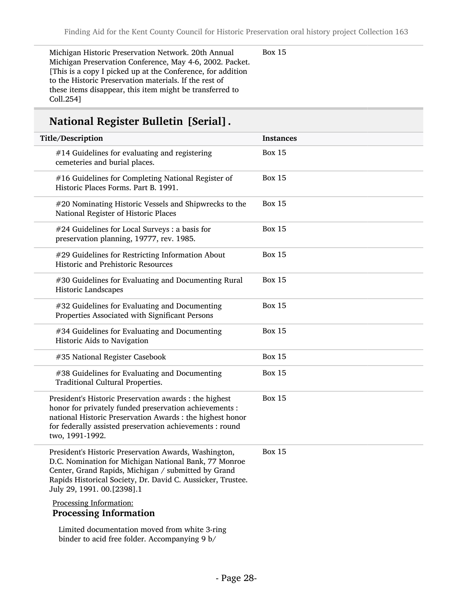Michigan Historic Preservation Network. 20th Annual Michigan Preservation Conference, May 4-6, 2002. Packet. [This is a copy I picked up at the Conference, for addition to the Historic Preservation materials. If the rest of these items disappear, this item might be transferred to Coll.254]

Box 15

## National Register Bulletin [Serial].

| Title/Description                                                                                                                                                                                                                                                  | <b>Instances</b> |
|--------------------------------------------------------------------------------------------------------------------------------------------------------------------------------------------------------------------------------------------------------------------|------------------|
| #14 Guidelines for evaluating and registering<br>cemeteries and burial places.                                                                                                                                                                                     | <b>Box 15</b>    |
| #16 Guidelines for Completing National Register of<br>Historic Places Forms. Part B. 1991.                                                                                                                                                                         | <b>Box 15</b>    |
| #20 Nominating Historic Vessels and Shipwrecks to the<br>National Register of Historic Places                                                                                                                                                                      | <b>Box 15</b>    |
| #24 Guidelines for Local Surveys : a basis for<br>preservation planning, 19777, rev. 1985.                                                                                                                                                                         | <b>Box 15</b>    |
| #29 Guidelines for Restricting Information About<br>Historic and Prehistoric Resources                                                                                                                                                                             | <b>Box 15</b>    |
| #30 Guidelines for Evaluating and Documenting Rural<br>Historic Landscapes                                                                                                                                                                                         | <b>Box 15</b>    |
| #32 Guidelines for Evaluating and Documenting<br>Properties Associated with Significant Persons                                                                                                                                                                    | <b>Box 15</b>    |
| #34 Guidelines for Evaluating and Documenting<br>Historic Aids to Navigation                                                                                                                                                                                       | <b>Box 15</b>    |
| #35 National Register Casebook                                                                                                                                                                                                                                     | <b>Box 15</b>    |
| #38 Guidelines for Evaluating and Documenting<br>Traditional Cultural Properties.                                                                                                                                                                                  | <b>Box 15</b>    |
| President's Historic Preservation awards : the highest<br>honor for privately funded preservation achievements :<br>national Historic Preservation Awards : the highest honor<br>for federally assisted preservation achievements : round<br>two, 1991-1992.       | <b>Box 15</b>    |
| President's Historic Preservation Awards, Washington,<br>D.C. Nomination for Michigan National Bank, 77 Monroe<br>Center, Grand Rapids, Michigan / submitted by Grand<br>Rapids Historical Society, Dr. David C. Aussicker, Trustee.<br>July 29, 1991. 00.[2398].1 | <b>Box 15</b>    |
| Processing Information:<br><b>Processing Information</b>                                                                                                                                                                                                           |                  |
| Limited documentation moved from white 3-ring                                                                                                                                                                                                                      |                  |

binder to acid free folder. Accompanying 9 b/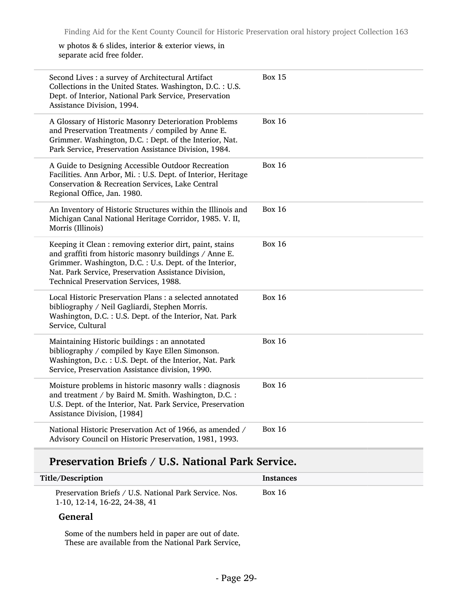w photos & 6 slides, interior & exterior views, in separate acid free folder.

| Second Lives : a survey of Architectural Artifact<br>Collections in the United States. Washington, D.C. : U.S.<br>Dept. of Interior, National Park Service, Preservation<br>Assistance Division, 1994.                                                                          | <b>Box 15</b> |
|---------------------------------------------------------------------------------------------------------------------------------------------------------------------------------------------------------------------------------------------------------------------------------|---------------|
| A Glossary of Historic Masonry Deterioration Problems<br>and Preservation Treatments / compiled by Anne E.<br>Grimmer. Washington, D.C. : Dept. of the Interior, Nat.<br>Park Service, Preservation Assistance Division, 1984.                                                  | <b>Box 16</b> |
| A Guide to Designing Accessible Outdoor Recreation<br>Facilities. Ann Arbor, Mi.: U.S. Dept. of Interior, Heritage<br>Conservation & Recreation Services, Lake Central<br>Regional Office, Jan. 1980.                                                                           | <b>Box 16</b> |
| An Inventory of Historic Structures within the Illinois and<br>Michigan Canal National Heritage Corridor, 1985. V. II,<br>Morris (Illinois)                                                                                                                                     | <b>Box 16</b> |
| Keeping it Clean : removing exterior dirt, paint, stains<br>and graffiti from historic masonry buildings / Anne E.<br>Grimmer. Washington, D.C. : U.s. Dept. of the Interior,<br>Nat. Park Service, Preservation Assistance Division,<br>Technical Preservation Services, 1988. | <b>Box 16</b> |
| Local Historic Preservation Plans : a selected annotated<br>bibliography / Neil Gagliardi, Stephen Morris.<br>Washington, D.C. : U.S. Dept. of the Interior, Nat. Park<br>Service, Cultural                                                                                     | <b>Box 16</b> |
| Maintaining Historic buildings : an annotated<br>bibliography / compiled by Kaye Ellen Simonson.<br>Washington, D.c.: U.S. Dept. of the Interior, Nat. Park<br>Service, Preservation Assistance division, 1990.                                                                 | <b>Box 16</b> |
| Moisture problems in historic masonry walls : diagnosis<br>and treatment / by Baird M. Smith. Washington, D.C. :<br>U.S. Dept. of the Interior, Nat. Park Service, Preservation<br>Assistance Division, [1984]                                                                  | <b>Box 16</b> |
| National Historic Preservation Act of 1966, as amended /<br>Advisory Council on Historic Preservation, 1981, 1993.                                                                                                                                                              | <b>Box 16</b> |
|                                                                                                                                                                                                                                                                                 |               |

## Preservation Briefs / U.S. National Park Service.

| Title/Description                                                                       | <b>Instances</b> |
|-----------------------------------------------------------------------------------------|------------------|
| Preservation Briefs / U.S. National Park Service. Nos.<br>1-10, 12-14, 16-22, 24-38, 41 | <b>Box 16</b>    |
| <b>General</b>                                                                          |                  |

Some of the numbers held in paper are out of date. These are available from the National Park Service,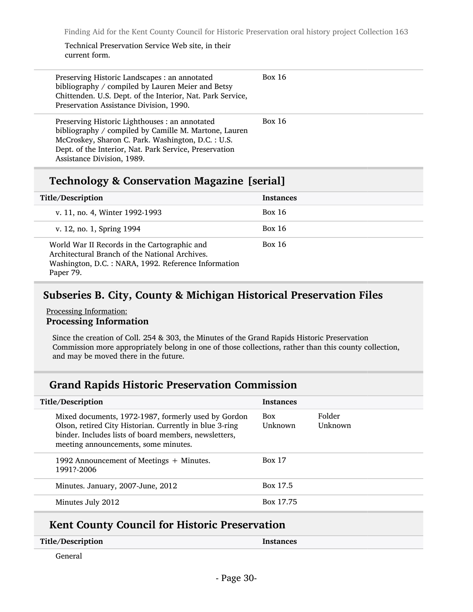#### Technical Preservation Service Web site, in their current form.

| Preserving Historic Landscapes : an annotated<br>bibliography / compiled by Lauren Meier and Betsy<br>Chittenden. U.S. Dept. of the Interior, Nat. Park Service,<br>Preservation Assistance Division, 1990.                                           | <b>Box 16</b> |
|-------------------------------------------------------------------------------------------------------------------------------------------------------------------------------------------------------------------------------------------------------|---------------|
| Preserving Historic Lighthouses : an annotated<br>bibliography / compiled by Camille M. Martone, Lauren<br>McCroskey, Sharon C. Park. Washington, D.C. : U.S.<br>Dept. of the Interior, Nat. Park Service, Preservation<br>Assistance Division, 1989. | <b>Box 16</b> |

### Technology & Conservation Magazine [serial]

| Title/Description                                                                                                                                                  | <b>Instances</b> |
|--------------------------------------------------------------------------------------------------------------------------------------------------------------------|------------------|
| v. 11, no. 4, Winter 1992-1993                                                                                                                                     | Box 16           |
| v. 12, no. 1, Spring 1994                                                                                                                                          | <b>Box 16</b>    |
| World War II Records in the Cartographic and<br>Architectural Branch of the National Archives.<br>Washington, D.C.: NARA, 1992. Reference Information<br>Paper 79. | <b>Box 16</b>    |

## <span id="page-29-0"></span>Subseries B. City, County & Michigan Historical Preservation Files

#### Processing Information: Processing Information

Since the creation of Coll. 254 & 303, the Minutes of the Grand Rapids Historic Preservation Commission more appropriately belong in one of those collections, rather than this county collection, and may be moved there in the future.

#### Grand Rapids Historic Preservation Commission

| Title/Description                                                                                                                                                                                               | <b>Instances</b>      |                   |
|-----------------------------------------------------------------------------------------------------------------------------------------------------------------------------------------------------------------|-----------------------|-------------------|
| Mixed documents, 1972-1987, formerly used by Gordon<br>Olson, retired City Historian. Currently in blue 3-ring<br>binder. Includes lists of board members, newsletters,<br>meeting announcements, some minutes. | <b>Box</b><br>Unknown | Folder<br>Unknown |
| 1992 Announcement of Meetings + Minutes.<br>1991?-2006                                                                                                                                                          | <b>Box 17</b>         |                   |
| Minutes. January, 2007-June, 2012                                                                                                                                                                               | Box 17.5              |                   |
| Minutes July 2012                                                                                                                                                                                               | Box 17.75             |                   |
|                                                                                                                                                                                                                 |                       |                   |

### Kent County Council for Historic Preservation

| Title/Description | <b>Instances</b> |
|-------------------|------------------|
|                   |                  |

General